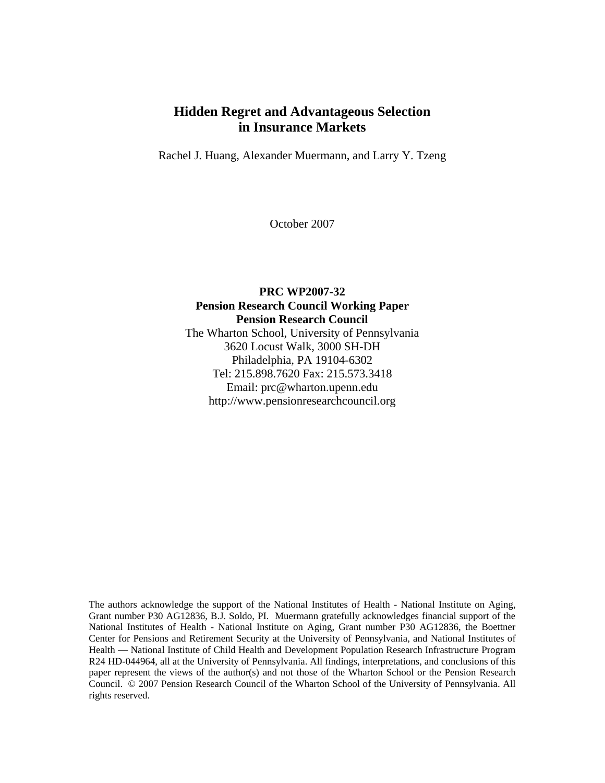# **Hidden Regret and Advantageous Selection in Insurance Markets**

Rachel J. Huang, Alexander Muermann, and Larry Y. Tzeng

October 2007

### **PRC WP2007-32 Pension Research Council Working Paper Pension Research Council**  The Wharton School, University of Pennsylvania 3620 Locust Walk, 3000 SH-DH Philadelphia, PA 19104-6302 Tel: 215.898.7620 Fax: 215.573.3418 Email: prc@wharton.upenn.edu http://www.pensionresearchcouncil.org

The authors acknowledge the support of the National Institutes of Health - National Institute on Aging, Grant number P30 AG12836, B.J. Soldo, PI. Muermann gratefully acknowledges financial support of the National Institutes of Health - National Institute on Aging, Grant number P30 AG12836, the Boettner Center for Pensions and Retirement Security at the University of Pennsylvania, and National Institutes of Health — National Institute of Child Health and Development Population Research Infrastructure Program R24 HD-044964, all at the University of Pennsylvania. All findings, interpretations, and conclusions of this paper represent the views of the author(s) and not those of the Wharton School or the Pension Research Council. © 2007 Pension Research Council of the Wharton School of the University of Pennsylvania. All rights reserved.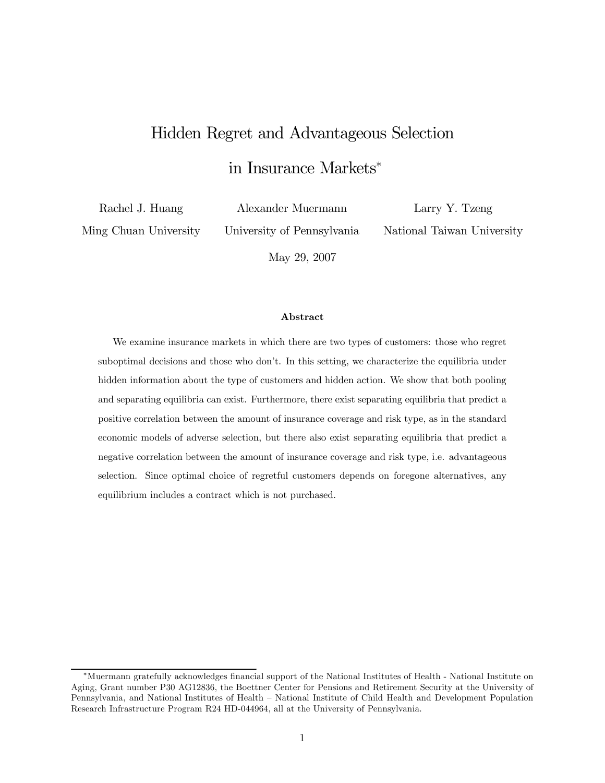# Hidden Regret and Advantageous Selection

in Insurance Markets<sup>∗</sup>

Rachel J. Huang Ming Chuan University Alexander Muermann

University of Pennsylvania

Larry Y. Tzeng National Taiwan University

May 29, 2007

#### Abstract

We examine insurance markets in which there are two types of customers: those who regret suboptimal decisions and those who don't. In this setting, we characterize the equilibria under hidden information about the type of customers and hidden action. We show that both pooling and separating equilibria can exist. Furthermore, there exist separating equilibria that predict a positive correlation between the amount of insurance coverage and risk type, as in the standard economic models of adverse selection, but there also exist separating equilibria that predict a negative correlation between the amount of insurance coverage and risk type, i.e. advantageous selection. Since optimal choice of regretful customers depends on foregone alternatives, any equilibrium includes a contract which is not purchased.

<sup>∗</sup>Muermann gratefully acknowledges financial support of the National Institutes of Health - National Institute on Aging, Grant number P30 AG12836, the Boettner Center for Pensions and Retirement Security at the University of Pennsylvania, and National Institutes of Health — National Institute of Child Health and Development Population Research Infrastructure Program R24 HD-044964, all at the University of Pennsylvania.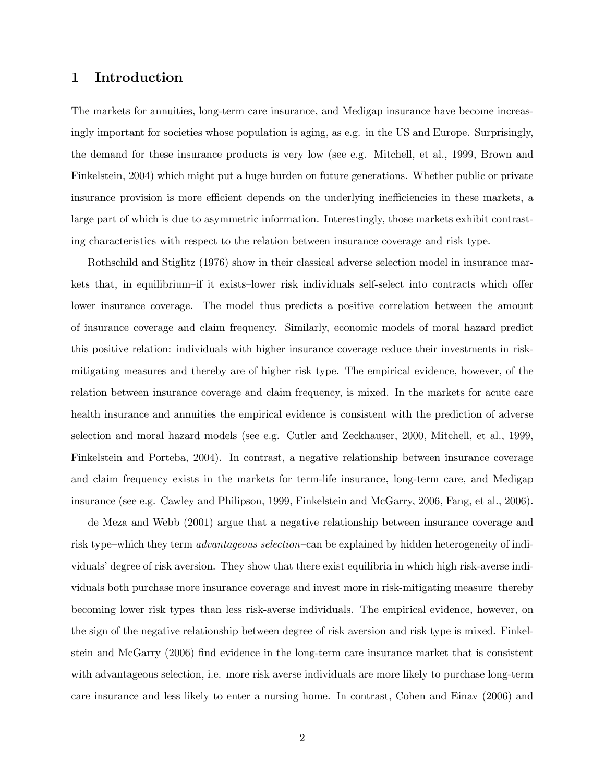### 1 Introduction

The markets for annuities, long-term care insurance, and Medigap insurance have become increasingly important for societies whose population is aging, as e.g. in the US and Europe. Surprisingly, the demand for these insurance products is very low (see e.g. Mitchell, et al., 1999, Brown and Finkelstein, 2004) which might put a huge burden on future generations. Whether public or private insurance provision is more efficient depends on the underlying inefficiencies in these markets, a large part of which is due to asymmetric information. Interestingly, those markets exhibit contrasting characteristics with respect to the relation between insurance coverage and risk type.

Rothschild and Stiglitz (1976) show in their classical adverse selection model in insurance markets that, in equilibrium—if it exists—lower risk individuals self-select into contracts which offer lower insurance coverage. The model thus predicts a positive correlation between the amount of insurance coverage and claim frequency. Similarly, economic models of moral hazard predict this positive relation: individuals with higher insurance coverage reduce their investments in riskmitigating measures and thereby are of higher risk type. The empirical evidence, however, of the relation between insurance coverage and claim frequency, is mixed. In the markets for acute care health insurance and annuities the empirical evidence is consistent with the prediction of adverse selection and moral hazard models (see e.g. Cutler and Zeckhauser, 2000, Mitchell, et al., 1999, Finkelstein and Porteba, 2004). In contrast, a negative relationship between insurance coverage and claim frequency exists in the markets for term-life insurance, long-term care, and Medigap insurance (see e.g. Cawley and Philipson, 1999, Finkelstein and McGarry, 2006, Fang, et al., 2006).

de Meza and Webb (2001) argue that a negative relationship between insurance coverage and risk type—which they term advantageous selection—can be explained by hidden heterogeneity of individuals' degree of risk aversion. They show that there exist equilibria in which high risk-averse individuals both purchase more insurance coverage and invest more in risk-mitigating measure—thereby becoming lower risk types—than less risk-averse individuals. The empirical evidence, however, on the sign of the negative relationship between degree of risk aversion and risk type is mixed. Finkelstein and McGarry (2006) find evidence in the long-term care insurance market that is consistent with advantageous selection, i.e. more risk averse individuals are more likely to purchase long-term care insurance and less likely to enter a nursing home. In contrast, Cohen and Einav (2006) and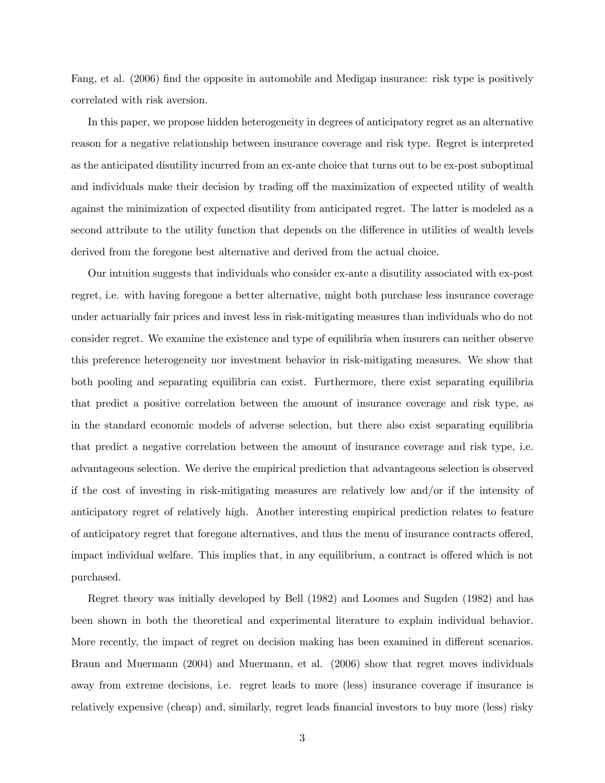Fang, et al. (2006) find the opposite in automobile and Medigap insurance: risk type is positively correlated with risk aversion.

In this paper, we propose hidden heterogeneity in degrees of anticipatory regret as an alternative reason for a negative relationship between insurance coverage and risk type. Regret is interpreted as the anticipated disutility incurred from an ex-ante choice that turns out to be ex-post suboptimal and individuals make their decision by trading off the maximization of expected utility of wealth against the minimization of expected disutility from anticipated regret. The latter is modeled as a second attribute to the utility function that depends on the difference in utilities of wealth levels derived from the foregone best alternative and derived from the actual choice.

Our intuition suggests that individuals who consider ex-ante a disutility associated with ex-post regret, i.e. with having foregone a better alternative, might both purchase less insurance coverage under actuarially fair prices and invest less in risk-mitigating measures than individuals who do not consider regret. We examine the existence and type of equilibria when insurers can neither observe this preference heterogeneity nor investment behavior in risk-mitigating measures. We show that both pooling and separating equilibria can exist. Furthermore, there exist separating equilibria that predict a positive correlation between the amount of insurance coverage and risk type, as in the standard economic models of adverse selection, but there also exist separating equilibria that predict a negative correlation between the amount of insurance coverage and risk type, i.e. advantageous selection. We derive the empirical prediction that advantageous selection is observed if the cost of investing in risk-mitigating measures are relatively low and/or if the intensity of anticipatory regret of relatively high. Another interesting empirical prediction relates to feature of anticipatory regret that foregone alternatives, and thus the menu of insurance contracts offered, impact individual welfare. This implies that, in any equilibrium, a contract is offered which is not purchased.

Regret theory was initially developed by Bell (1982) and Loomes and Sugden (1982) and has been shown in both the theoretical and experimental literature to explain individual behavior. More recently, the impact of regret on decision making has been examined in different scenarios. Braun and Muermann (2004) and Muermann, et al. (2006) show that regret moves individuals away from extreme decisions, i.e. regret leads to more (less) insurance coverage if insurance is relatively expensive (cheap) and, similarly, regret leads financial investors to buy more (less) risky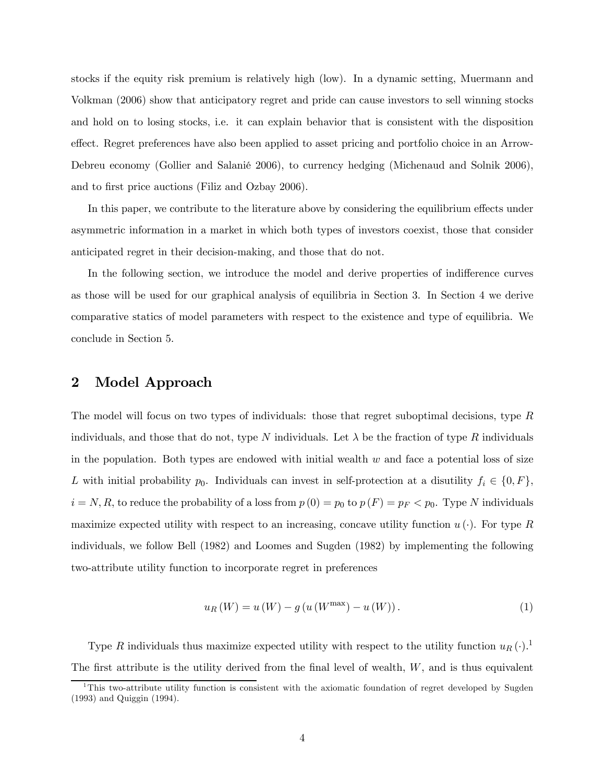stocks if the equity risk premium is relatively high (low). In a dynamic setting, Muermann and Volkman (2006) show that anticipatory regret and pride can cause investors to sell winning stocks and hold on to losing stocks, i.e. it can explain behavior that is consistent with the disposition effect. Regret preferences have also been applied to asset pricing and portfolio choice in an Arrow-Debreu economy (Gollier and Salanié 2006), to currency hedging (Michenaud and Solnik 2006), and to first price auctions (Filiz and Ozbay 2006).

In this paper, we contribute to the literature above by considering the equilibrium effects under asymmetric information in a market in which both types of investors coexist, those that consider anticipated regret in their decision-making, and those that do not.

In the following section, we introduce the model and derive properties of indifference curves as those will be used for our graphical analysis of equilibria in Section 3. In Section 4 we derive comparative statics of model parameters with respect to the existence and type of equilibria. We conclude in Section 5.

### 2 Model Approach

The model will focus on two types of individuals: those that regret suboptimal decisions, type R individuals, and those that do not, type N individuals. Let  $\lambda$  be the fraction of type R individuals in the population. Both types are endowed with initial wealth  $w$  and face a potential loss of size L with initial probability  $p_0$ . Individuals can invest in self-protection at a disutility  $f_i \in \{0, F\}$ ,  $i = N, R$ , to reduce the probability of a loss from  $p(0) = p_0$  to  $p(F) = p_F < p_0$ . Type N individuals maximize expected utility with respect to an increasing, concave utility function  $u(\cdot)$ . For type R individuals, we follow Bell (1982) and Loomes and Sugden (1982) by implementing the following two-attribute utility function to incorporate regret in preferences

$$
u_{R}(W) = u(W) - g(u(W^{\max}) - u(W)).
$$
\n(1)

Type R individuals thus maximize expected utility with respect to the utility function  $u_R(\cdot)$ .<sup>1</sup> The first attribute is the utility derived from the final level of wealth,  $W$ , and is thus equivalent

<sup>&</sup>lt;sup>1</sup>This two-attribute utility function is consistent with the axiomatic foundation of regret developed by Sugden (1993) and Quiggin (1994).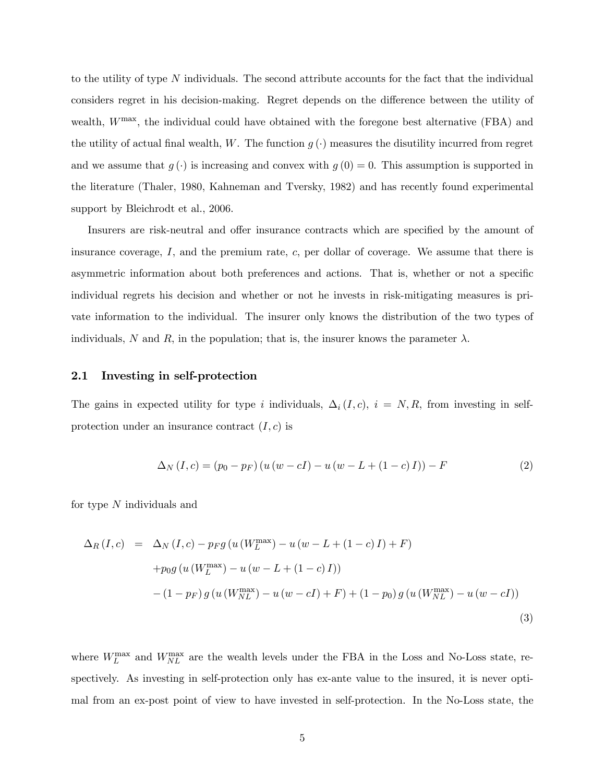to the utility of type N individuals. The second attribute accounts for the fact that the individual considers regret in his decision-making. Regret depends on the difference between the utility of wealth,  $W^{\text{max}}$ , the individual could have obtained with the foregone best alternative (FBA) and the utility of actual final wealth, W. The function  $g(\cdot)$  measures the disutility incurred from regret and we assume that  $g(\cdot)$  is increasing and convex with  $g(0) = 0$ . This assumption is supported in the literature (Thaler, 1980, Kahneman and Tversky, 1982) and has recently found experimental support by Bleichrodt et al., 2006.

Insurers are risk-neutral and offer insurance contracts which are specified by the amount of insurance coverage,  $I$ , and the premium rate,  $c$ , per dollar of coverage. We assume that there is asymmetric information about both preferences and actions. That is, whether or not a specific individual regrets his decision and whether or not he invests in risk-mitigating measures is private information to the individual. The insurer only knows the distribution of the two types of individuals, N and R, in the population; that is, the insurer knows the parameter  $\lambda$ .

#### 2.1 Investing in self-protection

The gains in expected utility for type i individuals,  $\Delta_i(I,c)$ ,  $i = N, R$ , from investing in selfprotection under an insurance contract  $(I, c)$  is

$$
\Delta_N (I, c) = (p_0 - p_F) (u (w - cI) - u (w - L + (1 - c) I)) - F
$$
\n(2)

for type  $N$  individuals and

$$
\Delta_R (I, c) = \Delta_N (I, c) - p_F g (u (W_L^{\max}) - u (w - L + (1 - c) I) + F)
$$
  
+ 
$$
p_0 g (u (W_L^{\max}) - u (w - L + (1 - c) I))
$$
  
- 
$$
(1 - p_F) g (u (W_{NL}^{\max}) - u (w - cI) + F) + (1 - p_0) g (u (W_{NL}^{\max}) - u (w - cI))
$$
  
(3)

where  $W_L^{\text{max}}$  and  $W_{NL}^{\text{max}}$  are the wealth levels under the FBA in the Loss and No-Loss state, respectively. As investing in self-protection only has ex-ante value to the insured, it is never optimal from an ex-post point of view to have invested in self-protection. In the No-Loss state, the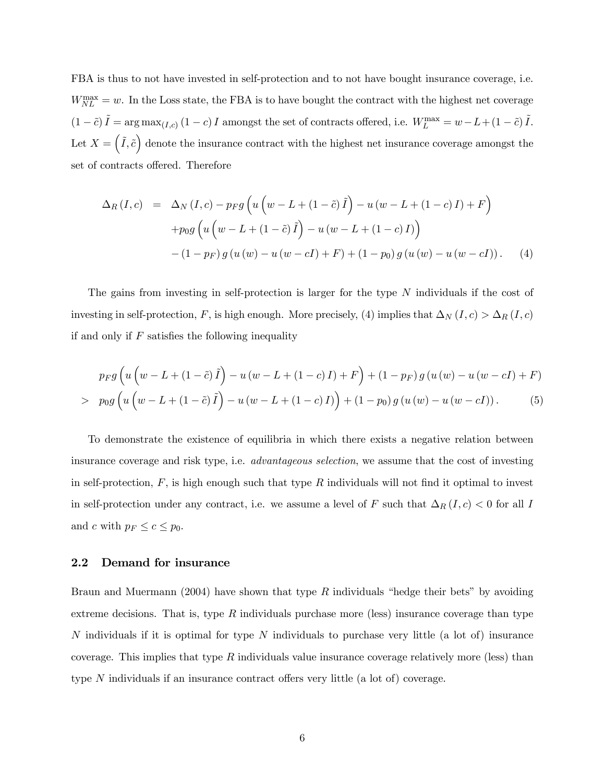FBA is thus to not have invested in self-protection and to not have bought insurance coverage, i.e.  $W_{NL}^{\text{max}} = w$ . In the Loss state, the FBA is to have bought the contract with the highest net coverage  $(1 - \tilde{c}) \tilde{I} = \arg \max_{(I, c)} (1 - c) I$  amongst the set of contracts offered, i.e.  $W_L^{\max} = w - L + (1 - \tilde{c}) \tilde{I}$ . Let  $X = (\tilde{I}, \tilde{c})$  denote the insurance contract with the highest net insurance coverage amongst the set of contracts offered. Therefore

$$
\Delta_R(I, c) = \Delta_N(I, c) - p_F g \left( u \left( w - L + (1 - \tilde{c}) \tilde{I} \right) - u \left( w - L + (1 - c) I \right) + F \right) + p_0 g \left( u \left( w - L + (1 - \tilde{c}) \tilde{I} \right) - u \left( w - L + (1 - c) I \right) \right) - (1 - p_F) g \left( u \left( w \right) - u \left( w - c I \right) + F \right) + (1 - p_0) g \left( u \left( w \right) - u \left( w - c I \right) \right). \tag{4}
$$

The gains from investing in self-protection is larger for the type N individuals if the cost of investing in self-protection, F, is high enough. More precisely, (4) implies that  $\Delta_N(I,c) > \Delta_R(I,c)$ if and only if  $F$  satisfies the following inequality

$$
p_F g\left(u\left(w - L + (1 - \tilde{c})\tilde{I}\right) - u\left(w - L + (1 - c)I\right) + F\right) + (1 - p_F) g\left(u(w) - u\left(w - cI\right) + F\right) > p_0 g\left(u\left(w - L + (1 - \tilde{c})\tilde{I}\right) - u\left(w - L + (1 - c)I\right)\right) + (1 - p_0) g\left(u(w) - u\left(w - cI\right)\right).
$$
 (5)

To demonstrate the existence of equilibria in which there exists a negative relation between insurance coverage and risk type, i.e. advantageous selection, we assume that the cost of investing in self-protection,  $F$ , is high enough such that type  $R$  individuals will not find it optimal to invest in self-protection under any contract, i.e. we assume a level of F such that  $\Delta_R(I,c) < 0$  for all I and c with  $p_F \leq c \leq p_0$ .

#### 2.2 Demand for insurance

Braun and Muermann (2004) have shown that type  $R$  individuals "hedge their bets" by avoiding extreme decisions. That is, type  $R$  individuals purchase more (less) insurance coverage than type N individuals if it is optimal for type  $N$  individuals to purchase very little (a lot of) insurance coverage. This implies that type  $R$  individuals value insurance coverage relatively more (less) than type N individuals if an insurance contract offers very little (a lot of) coverage.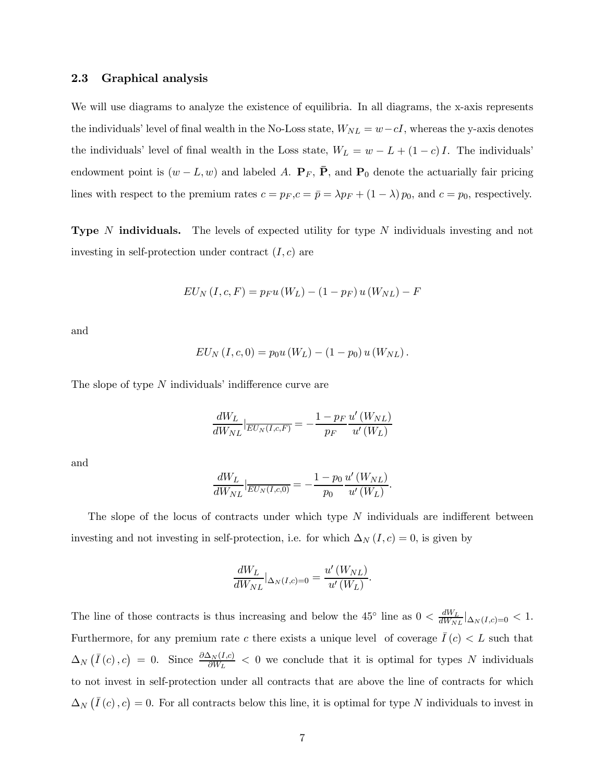#### 2.3 Graphical analysis

We will use diagrams to analyze the existence of equilibria. In all diagrams, the x-axis represents the individuals' level of final wealth in the No-Loss state,  $W_{NL} = w - cI$ , whereas the y-axis denotes the individuals' level of final wealth in the Loss state,  $W_L = w - L + (1 - c)I$ . The individuals' endowment point is  $(w - L, w)$  and labeled A.  $\mathbf{P}_F$ ,  $\bar{\mathbf{P}}$ , and  $\mathbf{P}_0$  denote the actuarially fair pricing lines with respect to the premium rates  $c = p_F, c = \bar{p} = \lambda p_F + (1 - \lambda) p_0$ , and  $c = p_0$ , respectively.

**Type** N **individuals.** The levels of expected utility for type N individuals investing and not investing in self-protection under contract  $(I, c)$  are

$$
EU_N (I, c, F) = p_F u (W_L) - (1 - p_F) u (W_{NL}) - F
$$

and

$$
EU_N (I, c, 0) = p_0 u (W_L) - (1 - p_0) u (W_{NL}).
$$

The slope of type N individuals' indifference curve are

$$
\frac{dW_L}{dW_{NL}}\Big|_{\overline{EU_N(I,c,F)}} = -\frac{1-p_F}{p_F}\frac{u'\left(W_{NL}\right)}{u'\left(W_L\right)}
$$

and

$$
\frac{dW_L}{dW_{NL}}|_{\overline{EU_N(I,c,0)}} = -\frac{1-p_0}{p_0} \frac{u'(W_{NL})}{u'(W_L)}.
$$

The slope of the locus of contracts under which type  $N$  individuals are indifferent between investing and not investing in self-protection, i.e. for which  $\Delta_N(I,c)=0$ , is given by

$$
\frac{dW_L}{dW_{NL}}|_{\Delta_N(I,c)=0} = \frac{u'\left(W_{NL}\right)}{u'\left(W_L\right)}.
$$

The line of those contracts is thus increasing and below the 45<sup>°</sup> line as  $0 < \frac{dW_L}{dW_{NL}}|_{\Delta_N(I,c)=0} < 1$ . Furthermore, for any premium rate c there exists a unique level of coverage  $\overline{I}(c) < L$  such that  $\Delta_N(\bar{I}(c), c) = 0$ . Since  $\frac{\partial \Delta_N(I,c)}{\partial W_L} < 0$  we conclude that it is optimal for types N individuals to not invest in self-protection under all contracts that are above the line of contracts for which  $\Delta_N(\bar{I}(c), c) = 0$ . For all contracts below this line, it is optimal for type N individuals to invest in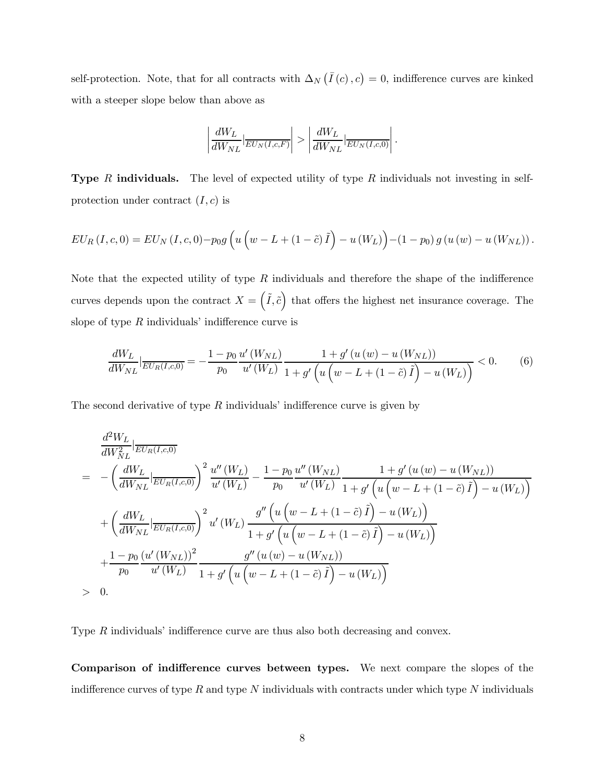self-protection. Note, that for all contracts with  $\Delta_N(\bar{I}(c), c) = 0$ , indifference curves are kinked with a steeper slope below than above as

$$
\left|\frac{dW_L}{dW_{NL}}|_{\overline{EU_N(I,c,F)}}\right|>\left|\frac{dW_L}{dW_{NL}}|_{\overline{EU_N(I,c,0)}}\right|.
$$

**Type** R individuals. The level of expected utility of type R individuals not investing in selfprotection under contract  $(I, c)$  is

$$
EU_{R}(I, c, 0) = EU_{N}(I, c, 0) - p_{0}g\left(u\left(w - L + (1 - \tilde{c})\tilde{I}\right) - u(W_{L})\right) - (1 - p_{0})g(u(w) - u(W_{NL})).
$$

Note that the expected utility of type  $R$  individuals and therefore the shape of the indifference curves depends upon the contract  $X = (\tilde{I}, \tilde{c})$  that offers the highest net insurance coverage. The slope of type  $R$  individuals' indifference curve is

$$
\frac{dW_L}{dW_{NL}}\Big|_{\overline{EU_R(I,c,0)}} = -\frac{1 - p_0}{p_0} \frac{u'(W_{NL})}{u'(W_L)} \frac{1 + g'(u(w) - u(W_{NL}))}{1 + g'\left(u\left(w - L + (1 - \tilde{c})\tilde{I}\right) - u(W_L)\right)} < 0. \tag{6}
$$

The second derivative of type  $R$  individuals' indifference curve is given by

$$
\frac{d^2 W_L}{dW_{NL}^2} \Big|_{\overline{EU_R(I,c,0)}} = -\left(\frac{dW_L}{dW_{NL}}\Big|_{\overline{EU_R(I,c,0)}}\right)^2 \frac{u''(W_L)}{u'(W_L)} - \frac{1-p_0}{p_0} \frac{u''(W_{NL})}{u'(W_L)} \frac{1+g'(u(w)-u(W_{NL}))}{1+g'\left(u(w-L+(1-\tilde{c})\tilde{I})-u(W_L)\right)} + \left(\frac{dW_L}{dW_{NL}}\Big|_{\overline{EU_R(I,c,0)}}\right)^2 u'(W_L) \frac{g''\left(u(w-L+(1-\tilde{c})\tilde{I})-u(W_L)\right)}{1+g'\left(u(w-L+(1-\tilde{c})\tilde{I})-u(W_L)\right)} + \frac{1-p_0}{p_0} \frac{(u'(W_{NL}))^2}{u'(W_L)} \frac{g''(u(w)-u(W_{NL}))}{1+g'\left(u(w-L+(1-\tilde{c})\tilde{I})-u(W_L)\right)} - \frac{g''(u(w)-u(W_{NL}))}{1+g'\left(u(w-L+(1-\tilde{c})\tilde{I})-u(W_L)\right)} - 0.
$$

Type R individuals' indifference curve are thus also both decreasing and convex.

Comparison of indifference curves between types. We next compare the slopes of the indifference curves of type  $R$  and type  $N$  individuals with contracts under which type  $N$  individuals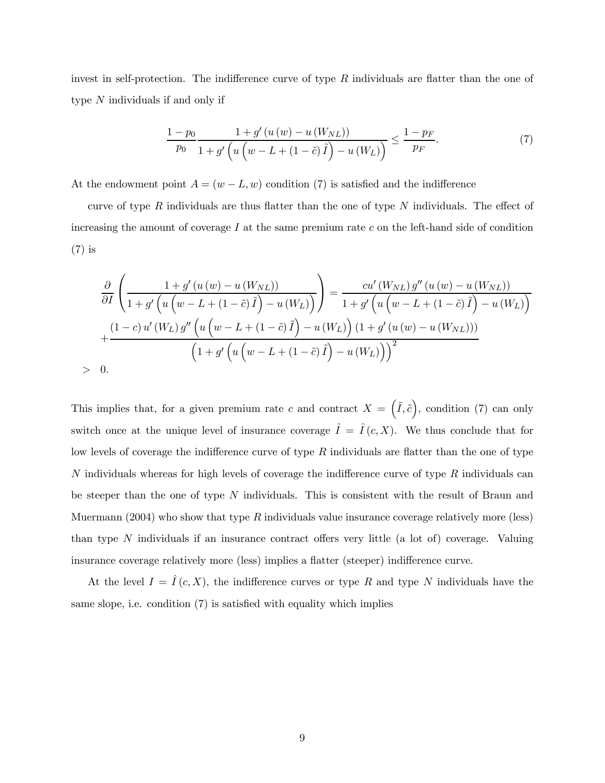invest in self-protection. The indifference curve of type  $R$  individuals are flatter than the one of type N individuals if and only if

$$
\frac{1-p_0}{p_0} \frac{1+g'(u(w) - u(W_{NL}))}{1+g'\left(u\left(w - L + (1-\tilde{c})\tilde{I}\right) - u(W_L)\right)} \le \frac{1-p_F}{p_F}.\tag{7}
$$

At the endowment point  $A = (w - L, w)$  condition (7) is satisfied and the indifference

curve of type  $R$  individuals are thus flatter than the one of type  $N$  individuals. The effect of increasing the amount of coverage  $I$  at the same premium rate  $c$  on the left-hand side of condition (7) is

$$
\frac{\partial}{\partial I}\left(\frac{1+g'(u(w)-u(W_{NL}))}{1+g'\left(u\left(w-L+(1-\tilde{c})\tilde{I}\right)-u(W_{L})\right)}\right) = \frac{cu'(W_{NL})g''(u(w)-u(W_{NL}))}{1+g'\left(u\left(w-L+(1-\tilde{c})\tilde{I}\right)-u(W_{L})\right)} + \frac{(1-c)u'(W_{L})g''\left(u\left(w-L+(1-\tilde{c})\tilde{I}\right)-u(W_{L})\right)(1+g'(u(w)-u(W_{NL})))}{\left(1+g'\left(u\left(w-L+(1-\tilde{c})\tilde{I}\right)-u(W_{L})\right)\right)^{2}}
$$
  
> 0.

This implies that, for a given premium rate c and contract  $X = (\tilde{I}, \tilde{c})$ , condition (7) can only switch once at the unique level of insurance coverage  $\hat{I} = \hat{I}(c, X)$ . We thus conclude that for low levels of coverage the indifference curve of type  $R$  individuals are flatter than the one of type N individuals whereas for high levels of coverage the indifference curve of type  $R$  individuals can be steeper than the one of type  $N$  individuals. This is consistent with the result of Braun and Muermann (2004) who show that type R individuals value insurance coverage relatively more (less) than type N individuals if an insurance contract offers very little (a lot of) coverage. Valuing insurance coverage relatively more (less) implies a flatter (steeper) indifference curve.

At the level  $I = \hat{I}(c, X)$ , the indifference curves or type R and type N individuals have the same slope, i.e. condition (7) is satisfied with equality which implies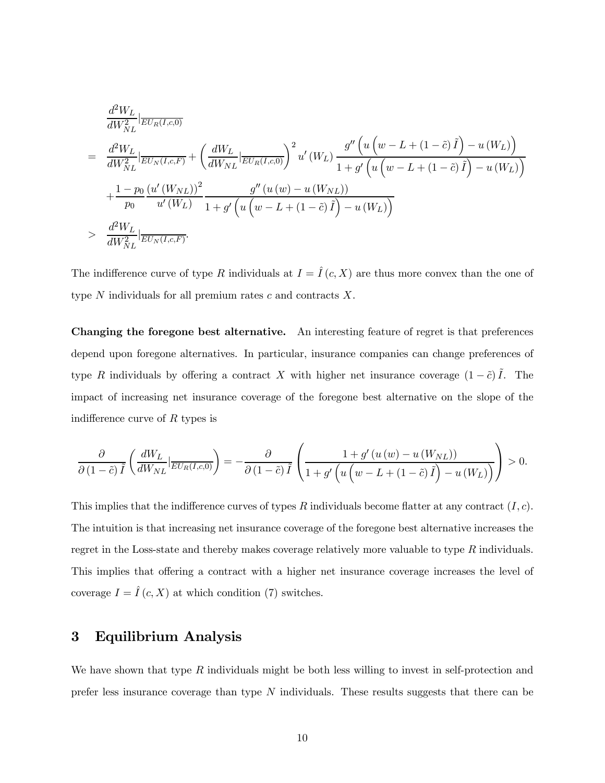$$
\frac{d^2 W_L}{dW_{NL}^2} \Big|_{\overline{EU_R(I,c,0)}}
$$
\n
$$
= \frac{d^2 W_L}{dW_{NL}^2} \Big|_{\overline{EU_N(I,c,F)}} + \left(\frac{dW_L}{dW_{NL}} \Big|_{\overline{EU_R(I,c,0)}}\right)^2 u'(W_L) \frac{g''\left(u\left(w - L + (1 - \tilde{c})\tilde{I}\right) - u(W_L)\right)}{1 + g'\left(u\left(w - L + (1 - \tilde{c})\tilde{I}\right) - u(W_L)\right)}
$$
\n
$$
+ \frac{1 - p_0}{p_0} \frac{(u'(W_{NL}))^2}{u'(W_L)} \frac{g''\left(u(w) - u(W_{NL})\right)}{1 + g'\left(u\left(w - L + (1 - \tilde{c})\tilde{I}\right) - u(W_L)\right)}
$$
\n
$$
> \frac{d^2 W_L}{dW_{NL}^2} \Big|_{\overline{EU_N(I,c,F)}}.
$$

The indifference curve of type R individuals at  $I = \hat{I}(c, X)$  are thus more convex than the one of type  $N$  individuals for all premium rates  $c$  and contracts  $X$ .

Changing the foregone best alternative. An interesting feature of regret is that preferences depend upon foregone alternatives. In particular, insurance companies can change preferences of type R individuals by offering a contract X with higher net insurance coverage  $(1 - \tilde{c}) \tilde{I}$ . The impact of increasing net insurance coverage of the foregone best alternative on the slope of the indifference curve of R types is

$$
\frac{\partial}{\partial (1-\tilde{c})\tilde{I}}\left(\frac{dW_L}{dW_{NL}}\Big|_{\overline{EU_R(I,c,0)}}\right)=-\frac{\partial}{\partial (1-\tilde{c})\tilde{I}}\left(\frac{1+g'\left(u\left(w\right)-u\left(W_{NL}\right)\right)}{1+g'\left(u\left(w-L+\left(1-\tilde{c}\right)\tilde{I}\right)-u\left(W_L\right)\right)}\right)>0.
$$

This implies that the indifference curves of types R individuals become flatter at any contract  $(I, c)$ . The intuition is that increasing net insurance coverage of the foregone best alternative increases the regret in the Loss-state and thereby makes coverage relatively more valuable to type R individuals. This implies that offering a contract with a higher net insurance coverage increases the level of coverage  $I = \hat{I}(c, X)$  at which condition (7) switches.

## 3 Equilibrium Analysis

We have shown that type  $R$  individuals might be both less willing to invest in self-protection and prefer less insurance coverage than type  $N$  individuals. These results suggests that there can be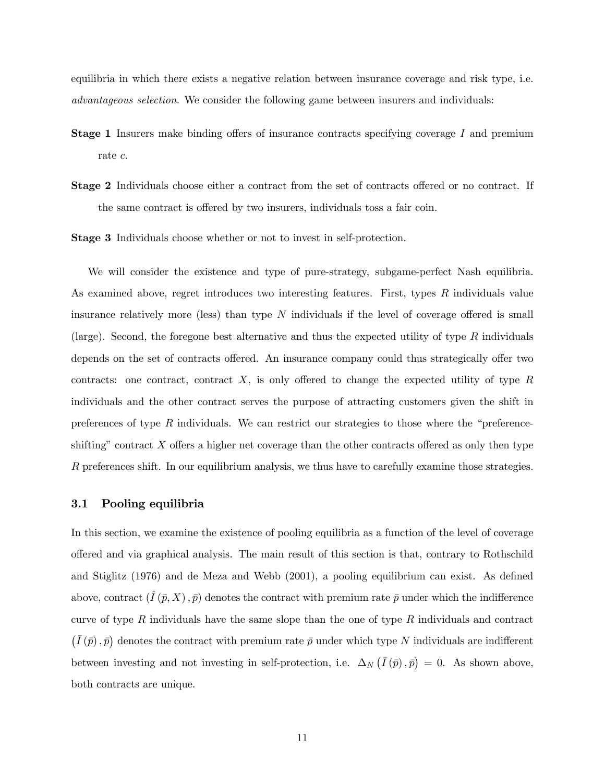equilibria in which there exists a negative relation between insurance coverage and risk type, i.e. advantageous selection. We consider the following game between insurers and individuals:

- **Stage 1** Insurers make binding offers of insurance contracts specifying coverage I and premium rate c.
- Stage 2 Individuals choose either a contract from the set of contracts offered or no contract. If the same contract is offered by two insurers, individuals toss a fair coin.

Stage 3 Individuals choose whether or not to invest in self-protection.

We will consider the existence and type of pure-strategy, subgame-perfect Nash equilibria. As examined above, regret introduces two interesting features. First, types R individuals value insurance relatively more (less) than type  $N$  individuals if the level of coverage offered is small (large). Second, the foregone best alternative and thus the expected utility of type  $R$  individuals depends on the set of contracts offered. An insurance company could thus strategically offer two contracts: one contract, contract  $X$ , is only offered to change the expected utility of type  $R$ individuals and the other contract serves the purpose of attracting customers given the shift in preferences of type  $R$  individuals. We can restrict our strategies to those where the "preferenceshifting" contract  $X$  offers a higher net coverage than the other contracts offered as only then type R preferences shift. In our equilibrium analysis, we thus have to carefully examine those strategies.

#### 3.1 Pooling equilibria

In this section, we examine the existence of pooling equilibria as a function of the level of coverage offered and via graphical analysis. The main result of this section is that, contrary to Rothschild and Stiglitz (1976) and de Meza and Webb (2001), a pooling equilibrium can exist. As defined above, contract  $(I(\bar{p}, X), \bar{p})$  denotes the contract with premium rate  $\bar{p}$  under which the indifference curve of type  $R$  individuals have the same slope than the one of type  $R$  individuals and contract  $(\bar{I}(\bar{p}), \bar{p})$  denotes the contract with premium rate  $\bar{p}$  under which type N individuals are indifferent between investing and not investing in self-protection, i.e.  $\Delta_N(\bar{I}(\bar{p}), \bar{p}) = 0$ . As shown above, both contracts are unique.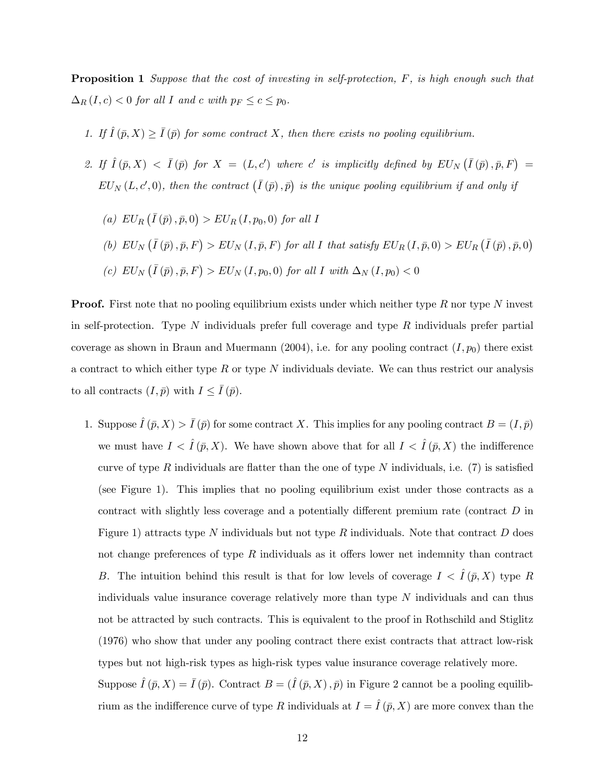**Proposition 1** Suppose that the cost of investing in self-protection, F, is high enough such that  $\Delta_R(I,c) < 0$  for all I and c with  $p_F \leq c \leq p_0$ .

- 1. If  $\hat{I}(\bar{p}, X) \geq \bar{I}(\bar{p})$  for some contract X, then there exists no pooling equilibrium.
- 2. If  $\hat{I}(\bar{p},X) < \bar{I}(\bar{p})$  for  $X = (L, c')$  where c' is implicitly defined by  $EU_N(\bar{I}(\bar{p}), \bar{p}, F) =$  $EU_N(L, c', 0)$ , then the contract  $(\overline{I}(\overline{p}), \overline{p})$  is the unique pooling equilibrium if and only if
	- (a)  $EU_R(\bar{I}(\bar{p}), \bar{p}, 0) > EU_R(I, p_0, 0)$  for all I (b)  $EU_N(\overline{I}(\overline{p}), \overline{p}, F) > EU_N(I, \overline{p}, F)$  for all I that satisfy  $EU_R(I, \overline{p}, 0) > EU_R(\overline{I}(\overline{p}), \overline{p}, 0)$ (c)  $EU_N(\overline{I}(\overline{p}), \overline{p}, F) > EU_N(I, p_0, 0)$  for all I with  $\Delta_N(I, p_0) < 0$

**Proof.** First note that no pooling equilibrium exists under which neither type  $R$  nor type  $N$  invest in self-protection. Type  $N$  individuals prefer full coverage and type  $R$  individuals prefer partial coverage as shown in Braun and Muermann (2004), i.e. for any pooling contract  $(I, p_0)$  there exist a contract to which either type  $R$  or type  $N$  individuals deviate. We can thus restrict our analysis to all contracts  $(I, \bar{p})$  with  $I \leq \bar{I}(\bar{p})$ .

1. Suppose  $\hat{I}(\bar{p}, X) > \bar{I}(\bar{p})$  for some contract X. This implies for any pooling contract  $B = (I, \bar{p})$ we must have  $I \langle \hat{I}(\bar{p}, X) \rangle$ . We have shown above that for all  $I \langle \hat{I}(\bar{p}, X) \rangle$  the indifference curve of type R individuals are flatter than the one of type N individuals, i.e.  $(7)$  is satisfied (see Figure 1). This implies that no pooling equilibrium exist under those contracts as a contract with slightly less coverage and a potentially different premium rate (contract D in Figure 1) attracts type N individuals but not type R individuals. Note that contract D does not change preferences of type  $R$  individuals as it offers lower net indemnity than contract B. The intuition behind this result is that for low levels of coverage  $I < I(\bar{p}, X)$  type R individuals value insurance coverage relatively more than type  $N$  individuals and can thus not be attracted by such contracts. This is equivalent to the proof in Rothschild and Stiglitz (1976) who show that under any pooling contract there exist contracts that attract low-risk types but not high-risk types as high-risk types value insurance coverage relatively more. Suppose  $\hat{I}(\bar{p}, X) = \bar{I}(\bar{p})$ . Contract  $B = (\hat{I}(\bar{p}, X), \bar{p})$  in Figure 2 cannot be a pooling equilib-

rium as the indifference curve of type R individuals at  $I = \hat{I}(\bar{p}, X)$  are more convex than the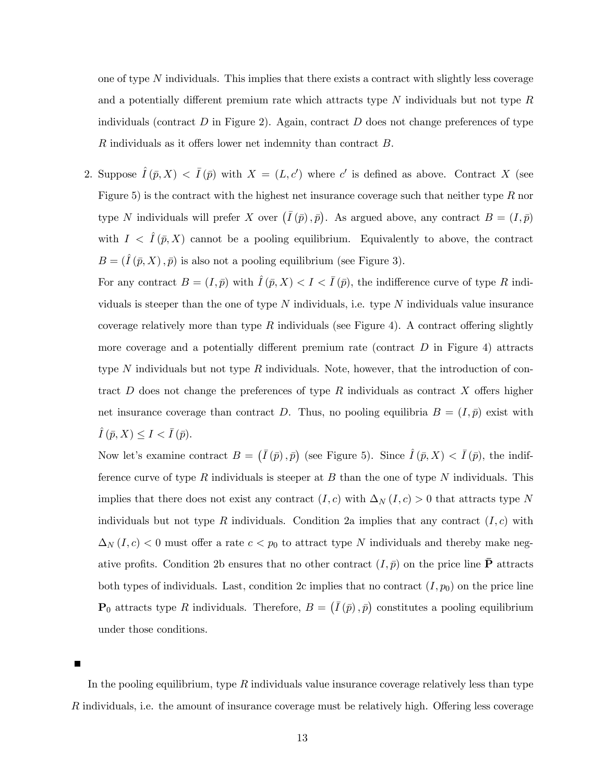one of type N individuals. This implies that there exists a contract with slightly less coverage and a potentially different premium rate which attracts type  $N$  individuals but not type  $R$ individuals (contract  $D$  in Figure 2). Again, contract  $D$  does not change preferences of type R individuals as it offers lower net indemnity than contract B.

2. Suppose  $\hat{I}(\bar{p},X) < \bar{I}(\bar{p})$  with  $X = (L, c')$  where c' is defined as above. Contract X (see Figure 5) is the contract with the highest net insurance coverage such that neither type  $R$  nor type N individuals will prefer X over  $(\bar{I}(\bar{p}), \bar{p})$ . As argued above, any contract  $B = (I, \bar{p})$ with  $I \langle \hat{I}(\bar{p}, X) \rangle$  cannot be a pooling equilibrium. Equivalently to above, the contract  $B = (\hat{I}(\bar{p}, X), \bar{p})$  is also not a pooling equilibrium (see Figure 3).

For any contract  $B = (I, \bar{p})$  with  $\hat{I}(\bar{p}, X) < I < \bar{I}(\bar{p})$ , the indifference curve of type R individuals is steeper than the one of type  $N$  individuals, i.e. type  $N$  individuals value insurance coverage relatively more than type R individuals (see Figure 4). A contract offering slightly more coverage and a potentially different premium rate (contract  $D$  in Figure 4) attracts type N individuals but not type R individuals. Note, however, that the introduction of contract  $D$  does not change the preferences of type  $R$  individuals as contract  $X$  offers higher net insurance coverage than contract D. Thus, no pooling equilibria  $B = (I, \bar{p})$  exist with  $\overline{I}(\overline{p}, X) \leq I < \overline{I}(\overline{p}).$ 

Now let's examine contract  $B = (\bar{I}(\bar{p}), \bar{p})$  (see Figure 5). Since  $\hat{I}(\bar{p}, X) < \bar{I}(\bar{p})$ , the indifference curve of type R individuals is steeper at B than the one of type N individuals. This implies that there does not exist any contract  $(I, c)$  with  $\Delta_N (I, c) > 0$  that attracts type N individuals but not type R individuals. Condition 2a implies that any contract  $(I, c)$  with  $\Delta_N(I,c)$  < 0 must offer a rate  $c < p_0$  to attract type N individuals and thereby make negative profits. Condition 2b ensures that no other contract  $(I, \bar{p})$  on the price line **P** attracts both types of individuals. Last, condition 2c implies that no contract  $(I, p_0)$  on the price line  $\mathbf{P}_0$  attracts type R individuals. Therefore,  $B = (\bar{I}(\bar{p}), \bar{p})$  constitutes a pooling equilibrium under those conditions.

In the pooling equilibrium, type  $R$  individuals value insurance coverage relatively less than type R individuals, i.e. the amount of insurance coverage must be relatively high. Offering less coverage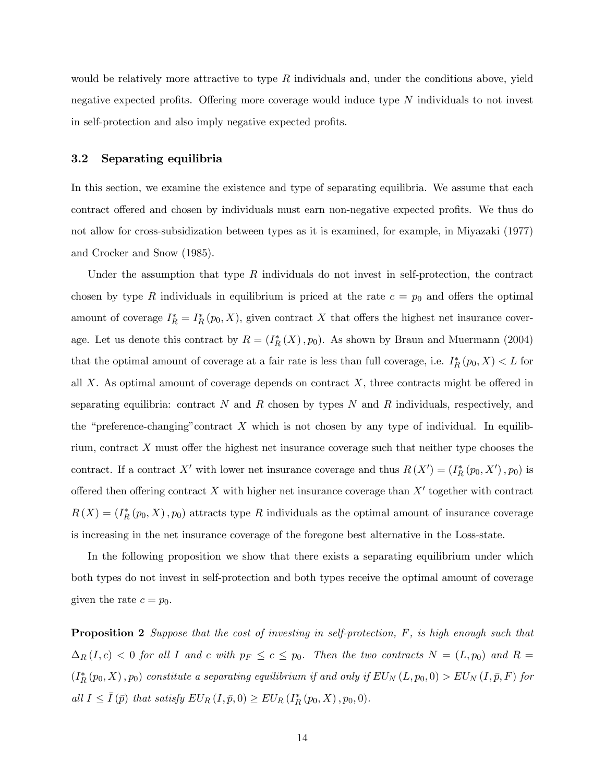would be relatively more attractive to type  $R$  individuals and, under the conditions above, yield negative expected profits. Offering more coverage would induce type N individuals to not invest in self-protection and also imply negative expected profits.

#### 3.2 Separating equilibria

In this section, we examine the existence and type of separating equilibria. We assume that each contract offered and chosen by individuals must earn non-negative expected profits. We thus do not allow for cross-subsidization between types as it is examined, for example, in Miyazaki (1977) and Crocker and Snow (1985).

Under the assumption that type  $R$  individuals do not invest in self-protection, the contract chosen by type R individuals in equilibrium is priced at the rate  $c = p_0$  and offers the optimal amount of coverage  $I_R^* = I_R^*(p_0, X)$ , given contract X that offers the highest net insurance coverage. Let us denote this contract by  $R = (I_R^*(X), p_0)$ . As shown by Braun and Muermann (2004) that the optimal amount of coverage at a fair rate is less than full coverage, i.e.  $I_R^*(p_0, X) < L$  for all  $X$ . As optimal amount of coverage depends on contract  $X$ , three contracts might be offered in separating equilibria: contract N and R chosen by types N and R individuals, respectively, and the "preference-changing" contract  $X$  which is not chosen by any type of individual. In equilibrium, contract  $X$  must offer the highest net insurance coverage such that neither type chooses the contract. If a contract X' with lower net insurance coverage and thus  $R(X') = (I_R^*(p_0, X'), p_0)$  is offered then offering contract X with higher net insurance coverage than  $X'$  together with contract  $R(X) = (I_R^*(p_0, X), p_0)$  attracts type R individuals as the optimal amount of insurance coverage is increasing in the net insurance coverage of the foregone best alternative in the Loss-state.

In the following proposition we show that there exists a separating equilibrium under which both types do not invest in self-protection and both types receive the optimal amount of coverage given the rate  $c = p_0$ .

**Proposition 2** Suppose that the cost of investing in self-protection, F, is high enough such that  $\Delta_R(I,c)$  < 0 for all I and c with  $p_F \leq c \leq p_0$ . Then the two contracts  $N = (L, p_0)$  and  $R =$  $(I_R^*(p_0, X), p_0)$  constitute a separating equilibrium if and only if  $EU_N(L, p_0, 0) > EU_N(I, \bar{p}, F)$  for all  $I \leq \overline{I}(\overline{p})$  that satisfy  $EU_R(I, \overline{p}, 0) \geq EU_R(I_R^*(p_0, X), p_0, 0)$ .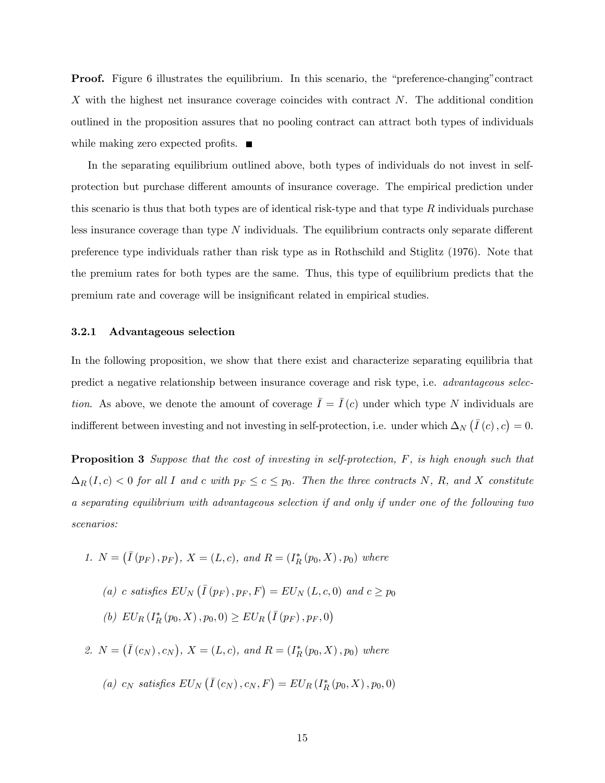Proof. Figure 6 illustrates the equilibrium. In this scenario, the "preference-changing"contract X with the highest net insurance coverage coincides with contract N. The additional condition outlined in the proposition assures that no pooling contract can attract both types of individuals while making zero expected profits.  $\blacksquare$ 

In the separating equilibrium outlined above, both types of individuals do not invest in selfprotection but purchase different amounts of insurance coverage. The empirical prediction under this scenario is thus that both types are of identical risk-type and that type  $R$  individuals purchase less insurance coverage than type N individuals. The equilibrium contracts only separate different preference type individuals rather than risk type as in Rothschild and Stiglitz (1976). Note that the premium rates for both types are the same. Thus, this type of equilibrium predicts that the premium rate and coverage will be insignificant related in empirical studies.

#### 3.2.1 Advantageous selection

In the following proposition, we show that there exist and characterize separating equilibria that predict a negative relationship between insurance coverage and risk type, i.e. advantageous selection. As above, we denote the amount of coverage  $\overline{I} = \overline{I}(c)$  under which type N individuals are indifferent between investing and not investing in self-protection, i.e. under which  $\Delta_N(\bar{I}(c), c) = 0$ .

**Proposition 3** Suppose that the cost of investing in self-protection, F, is high enough such that  $\Delta_R(I,c)$  < 0 for all I and c with  $p_F \leq c \leq p_0$ . Then the three contracts N, R, and X constitute a separating equilibrium with advantageous selection if and only if under one of the following two scenarios:

- 1.  $N = (\bar{I}(p_F), p_F), X = (L, c), \text{ and } R = (I_R^*(p_0, X), p_0) \text{ where}$ 
	- (a) c satisfies  $EU_N(\bar{I}(p_F), p_F, F) = EU_N(L, c, 0)$  and  $c \geq p_0$ (b)  $EU_R(I_R^*(p_0, X), p_0, 0) \geq EU_R(\overline{I}(p_F), p_F, 0)$

2.  $N = (\bar{I}(c_N), c_N)$ ,  $X = (L, c)$ , and  $R = (I_R^*(p_0, X), p_0)$  where

(a)  $c_N$  satisfies  $EU_N(\overline{I}(c_N), c_N, F) = EU_R(I_R^*(p_0, X), p_0, 0)$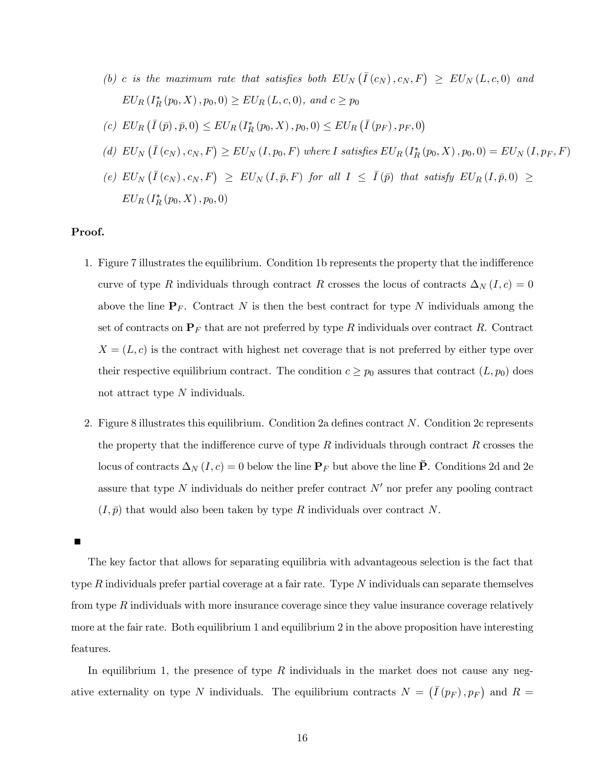- (b) c is the maximum rate that satisfies both  $EU_N(\overline{I}(c_N), c_N, F) \geq EU_N(L, c, 0)$  and  $EU_R(I^*_R(p_0, X), p_0, 0) \geq EU_R(L, c, 0), \text{ and } c \geq p_0$
- (c)  $EU_R(\bar{I}(\bar{p}), \bar{p}, 0) \leq EU_R(I_R^*(p_0, X), p_0, 0) \leq EU_R(\bar{I}(p_F), p_F, 0)$
- (d)  $EU_N(\overline{I}(c_N), c_N, F) \geq EU_N(I, p_0, F)$  where I satisfies  $EU_R(I_R^*(p_0, X), p_0, 0) = EU_N(I, p_F, F)$
- $(e)$   $EU_N(\bar{I}(c_N), c_N, F) \geq EU_N(I, \bar{p}, F)$  for all  $I \leq \bar{I}(\bar{p})$  that satisfy  $EU_R(I, \bar{p}, 0) \geq$  $EU_{R}$   $(I_{R}^{*}(p_{0}, X), p_{0}, 0)$

#### Proof.

- 1. Figure 7 illustrates the equilibrium. Condition 1b represents the property that the indifference curve of type R individuals through contract R crosses the locus of contracts  $\Delta_N (I,c)=0$ above the line  $P_F$ . Contract N is then the best contract for type N individuals among the set of contracts on  $P_F$  that are not preferred by type R individuals over contract R. Contract  $X = (L, c)$  is the contract with highest net coverage that is not preferred by either type over their respective equilibrium contract. The condition  $c \geq p_0$  assures that contract  $(L, p_0)$  does not attract type N individuals.
- 2. Figure 8 illustrates this equilibrium. Condition 2a defines contract N. Condition 2c represents the property that the indifference curve of type  $R$  individuals through contract  $R$  crosses the locus of contracts  $\Delta_N (I, c) = 0$  below the line  $\mathbf{P}_F$  but above the line  $\bar{\mathbf{P}}$ . Conditions 2d and 2e assure that type  $N$  individuals do neither prefer contract  $N'$  nor prefer any pooling contract  $(I, \bar{p})$  that would also been taken by type R individuals over contract N.

 $\blacksquare$ 

The key factor that allows for separating equilibria with advantageous selection is the fact that type R individuals prefer partial coverage at a fair rate. Type  $N$  individuals can separate themselves from type  $R$  individuals with more insurance coverage since they value insurance coverage relatively more at the fair rate. Both equilibrium 1 and equilibrium 2 in the above proposition have interesting features.

In equilibrium 1, the presence of type  $R$  individuals in the market does not cause any negative externality on type N individuals. The equilibrium contracts  $N = (\bar{I}(p_F), p_F)$  and  $R =$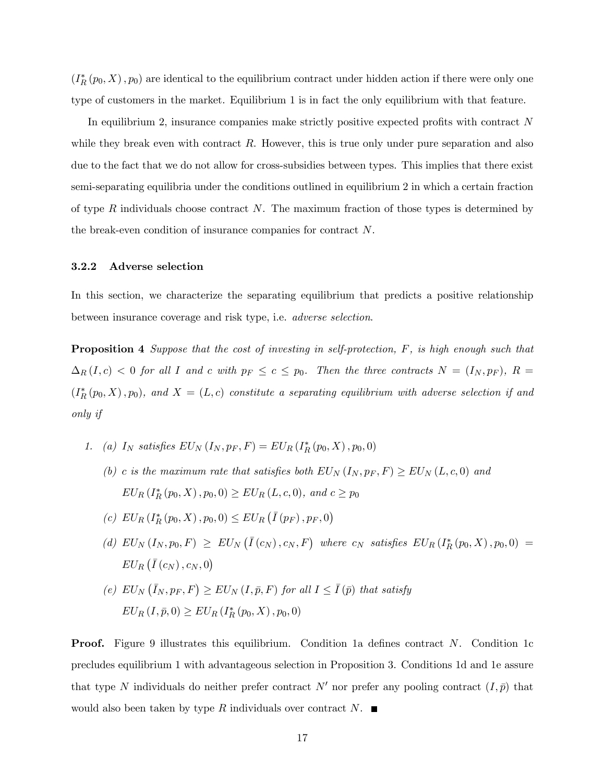$(I_R^*(p_0, X), p_0)$  are identical to the equilibrium contract under hidden action if there were only one type of customers in the market. Equilibrium 1 is in fact the only equilibrium with that feature.

In equilibrium 2, insurance companies make strictly positive expected profits with contract N while they break even with contract  $R$ . However, this is true only under pure separation and also due to the fact that we do not allow for cross-subsidies between types. This implies that there exist semi-separating equilibria under the conditions outlined in equilibrium 2 in which a certain fraction of type R individuals choose contract N. The maximum fraction of those types is determined by the break-even condition of insurance companies for contract N.

#### 3.2.2 Adverse selection

In this section, we characterize the separating equilibrium that predicts a positive relationship between insurance coverage and risk type, i.e. adverse selection.

Proposition 4 Suppose that the cost of investing in self-protection, F, is high enough such that  $\Delta_R(I,c)$  < 0 for all I and c with  $p_F \leq c \leq p_0$ . Then the three contracts  $N = (I_N, p_F)$ ,  $R =$  $(I_R^*(p_0, X), p_0)$ , and  $X = (L, c)$  constitute a separating equilibrium with adverse selection if and only if

- 1. (a)  $I_N$  satisfies  $EU_N(I_N, p_F, F) = EU_R(I_R^*(p_0, X), p_0, 0)$ 
	- (b) c is the maximum rate that satisfies both  $EU_N(I_N, p_F, F) \geq EU_N(L, c, 0)$  and  $EU_R(I^*_R(p_0, X), p_0, 0) \geq EU_R(L, c, 0), \text{ and } c \geq p_0$
	- (c)  $EU_R(I^*_R(p_0, X), p_0, 0) \leq EU_R(\overline{I}(p_F), p_F, 0)$
	- (d)  $EU_N(I_N, p_0, F) \geq EU_N(\bar{I}(c_N), c_N, F)$  where  $c_N$  satisfies  $EU_R(I_R^*(p_0, X), p_0, 0)$  =  $EU_R(\bar{I}(c_N),c_N,0)$
	- (e)  $EU_N(\bar{I}_N, p_F, F) \geq EU_N(I, \bar{p}, F)$  for all  $I \leq \bar{I}(\bar{p})$  that satisfy  $EU_R (I, \bar{p}, 0) \geq EU_R (I_R^*(p_0, X), p_0, 0)$

Proof. Figure 9 illustrates this equilibrium. Condition 1a defines contract N. Condition 1c precludes equilibrium 1 with advantageous selection in Proposition 3. Conditions 1d and 1e assure that type N individuals do neither prefer contract N' nor prefer any pooling contract  $(I, \bar{p})$  that would also been taken by type R individuals over contract N.  $\blacksquare$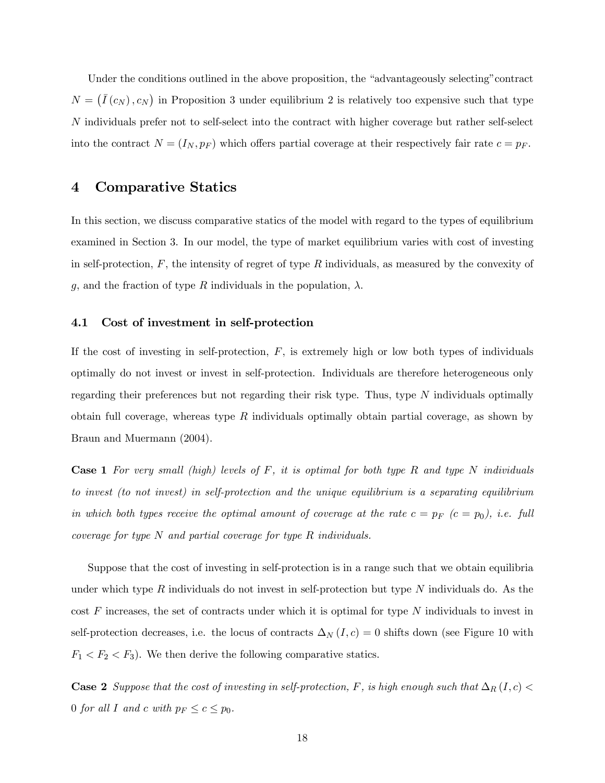Under the conditions outlined in the above proposition, the "advantageously selecting"contract  $N = (\bar{I}(c_N), c_N)$  in Proposition 3 under equilibrium 2 is relatively too expensive such that type N individuals prefer not to self-select into the contract with higher coverage but rather self-select into the contract  $N = (I_N, p_F)$  which offers partial coverage at their respectively fair rate  $c = p_F$ .

### 4 Comparative Statics

In this section, we discuss comparative statics of the model with regard to the types of equilibrium examined in Section 3. In our model, the type of market equilibrium varies with cost of investing in self-protection,  $F$ , the intensity of regret of type  $R$  individuals, as measured by the convexity of g, and the fraction of type R individuals in the population,  $\lambda$ .

#### 4.1 Cost of investment in self-protection

If the cost of investing in self-protection,  $F$ , is extremely high or low both types of individuals optimally do not invest or invest in self-protection. Individuals are therefore heterogeneous only regarding their preferences but not regarding their risk type. Thus, type  $N$  individuals optimally obtain full coverage, whereas type  $R$  individuals optimally obtain partial coverage, as shown by Braun and Muermann (2004).

**Case 1** For very small (high) levels of F, it is optimal for both type R and type N individuals to invest (to not invest) in self-protection and the unique equilibrium is a separating equilibrium in which both types receive the optimal amount of coverage at the rate  $c = p_F$  ( $c = p_0$ ), i.e. full coverage for type N and partial coverage for type R individuals.

Suppose that the cost of investing in self-protection is in a range such that we obtain equilibria under which type R individuals do not invest in self-protection but type N individuals do. As the  $\cos t$  F increases, the set of contracts under which it is optimal for type N individuals to invest in self-protection decreases, i.e. the locus of contracts  $\Delta_N(I,c)=0$  shifts down (see Figure 10 with  $F_1 < F_2 < F_3$ ). We then derive the following comparative statics.

**Case 2** Suppose that the cost of investing in self-protection, F, is high enough such that  $\Delta_R(I,c)$ 0 for all I and c with  $p_F \leq c \leq p_0$ .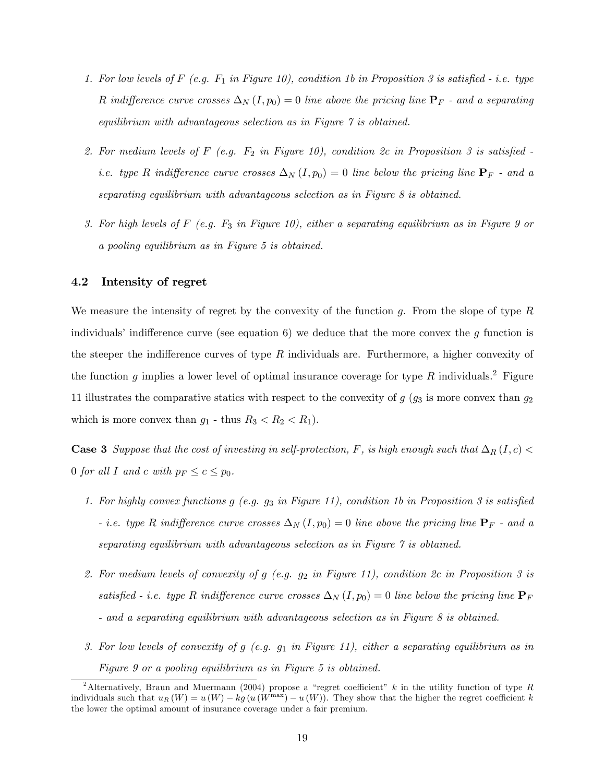- 1. For low levels of F (e.g.  $F_1$  in Figure 10), condition 1b in Proposition 3 is satisfied i.e. type R indifference curve crosses  $\Delta_N (I, p_0) = 0$  line above the pricing line  ${\bf P}_F$  - and a separating equilibrium with advantageous selection as in Figure 7 is obtained.
- 2. For medium levels of F (e.g.  $F_2$  in Figure 10), condition 2c in Proposition 3 is satisfied i.e. type R indifference curve crosses  $\Delta_N(I, p_0) = 0$  line below the pricing line  $\mathbf{P}_F$  - and a separating equilibrium with advantageous selection as in Figure 8 is obtained.
- 3. For high levels of  $F$  (e.g.  $F_3$  in Figure 10), either a separating equilibrium as in Figure 9 or a pooling equilibrium as in Figure 5 is obtained.

#### 4.2 Intensity of regret

We measure the intensity of regret by the convexity of the function  $g$ . From the slope of type  $R$ individuals' indifference curve (see equation 6) we deduce that the more convex the  $g$  function is the steeper the indifference curves of type  $R$  individuals are. Furthermore, a higher convexity of the function g implies a lower level of optimal insurance coverage for type R individuals.<sup>2</sup> Figure 11 illustrates the comparative statics with respect to the convexity of  $g$  ( $g_3$  is more convex than  $g_2$ ) which is more convex than  $g_1$  - thus  $R_3 < R_2 < R_1$ ).

Case 3 Suppose that the cost of investing in self-protection, F, is high enough such that  $\Delta_R(I,c)$ 0 for all I and c with  $p_F \leq c \leq p_0$ .

- 1. For highly convex functions  $g$  (e.g.  $g_3$  in Figure 11), condition 1b in Proposition 3 is satisfied - i.e. type R indifference curve crosses  $\Delta_N(I, p_0) = 0$  line above the pricing line  $\mathbf{P}_F$  - and a separating equilibrium with advantageous selection as in Figure 7 is obtained.
- 2. For medium levels of convexity of g  $(e.g. g_2 \in Figure 11)$ , condition 2c in Proposition 3 is satisfied - i.e. type R indifference curve crosses  $\Delta_N(I, p_0) = 0$  line below the pricing line  $P_F$ - and a separating equilibrium with advantageous selection as in Figure 8 is obtained.
- 3. For low levels of convexity of g (e.g.  $g_1$  in Figure 11), either a separating equilibrium as in Figure 9 or a pooling equilibrium as in Figure 5 is obtained.

<sup>&</sup>lt;sup>2</sup>Alternatively, Braun and Muermann (2004) propose a "regret coefficient" k in the utility function of type R individuals such that  $u_R(W) = u(W) - k_g(u(W^{\max}) - u(W))$ . They show that the higher the regret coefficient k the lower the optimal amount of insurance coverage under a fair premium.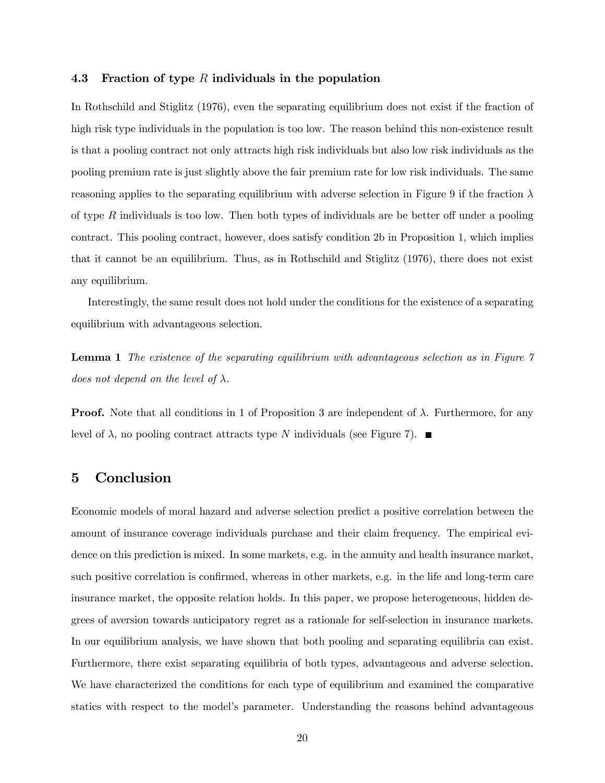#### 4.3 Fraction of type R individuals in the population

In Rothschild and Stiglitz (1976), even the separating equilibrium does not exist if the fraction of high risk type individuals in the population is too low. The reason behind this non-existence result is that a pooling contract not only attracts high risk individuals but also low risk individuals as the pooling premium rate is just slightly above the fair premium rate for low risk individuals. The same reasoning applies to the separating equilibrium with adverse selection in Figure 9 if the fraction  $\lambda$ of type  $R$  individuals is too low. Then both types of individuals are be better off under a pooling contract. This pooling contract, however, does satisfy condition 2b in Proposition 1, which implies that it cannot be an equilibrium. Thus, as in Rothschild and Stiglitz (1976), there does not exist any equilibrium.

Interestingly, the same result does not hold under the conditions for the existence of a separating equilibrium with advantageous selection.

**Lemma 1** The existence of the separating equilibrium with advantageous selection as in Figure  $\gamma$ does not depend on the level of  $\lambda$ .

**Proof.** Note that all conditions in 1 of Proposition 3 are independent of  $\lambda$ . Furthermore, for any level of  $\lambda$ , no pooling contract attracts type N individuals (see Figure 7).

### 5 Conclusion

Economic models of moral hazard and adverse selection predict a positive correlation between the amount of insurance coverage individuals purchase and their claim frequency. The empirical evidence on this prediction is mixed. In some markets, e.g. in the annuity and health insurance market, such positive correlation is confirmed, whereas in other markets, e.g. in the life and long-term care insurance market, the opposite relation holds. In this paper, we propose heterogeneous, hidden degrees of aversion towards anticipatory regret as a rationale for self-selection in insurance markets. In our equilibrium analysis, we have shown that both pooling and separating equilibria can exist. Furthermore, there exist separating equilibria of both types, advantageous and adverse selection. We have characterized the conditions for each type of equilibrium and examined the comparative statics with respect to the model's parameter. Understanding the reasons behind advantageous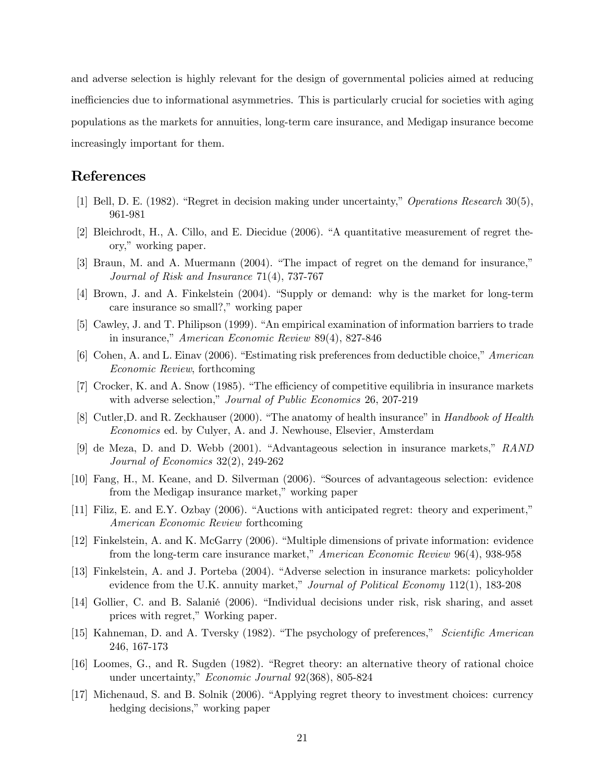and adverse selection is highly relevant for the design of governmental policies aimed at reducing inefficiencies due to informational asymmetries. This is particularly crucial for societies with aging populations as the markets for annuities, long-term care insurance, and Medigap insurance become increasingly important for them.

### References

- [1] Bell, D. E. (1982). "Regret in decision making under uncertainty," Operations Research 30(5), 961-981
- [2] Bleichrodt, H., A. Cillo, and E. Diecidue (2006). "A quantitative measurement of regret theory," working paper.
- [3] Braun, M. and A. Muermann (2004). "The impact of regret on the demand for insurance," Journal of Risk and Insurance 71(4), 737-767
- [4] Brown, J. and A. Finkelstein (2004). "Supply or demand: why is the market for long-term care insurance so small?," working paper
- [5] Cawley, J. and T. Philipson (1999). "An empirical examination of information barriers to trade in insurance," American Economic Review 89(4), 827-846
- [6] Cohen, A. and L. Einav (2006). "Estimating risk preferences from deductible choice," American Economic Review, forthcoming
- [7] Crocker, K. and A. Snow (1985). "The efficiency of competitive equilibria in insurance markets with adverse selection," *Journal of Public Economics* 26, 207-219
- [8] Cutler,D. and R. Zeckhauser (2000). "The anatomy of health insurance" in Handbook of Health Economics ed. by Culyer, A. and J. Newhouse, Elsevier, Amsterdam
- [9] de Meza, D. and D. Webb (2001). "Advantageous selection in insurance markets," RAND Journal of Economics 32(2), 249-262
- [10] Fang, H., M. Keane, and D. Silverman (2006). "Sources of advantageous selection: evidence from the Medigap insurance market," working paper
- [11] Filiz, E. and E.Y. Ozbay (2006). "Auctions with anticipated regret: theory and experiment," American Economic Review forthcoming
- [12] Finkelstein, A. and K. McGarry (2006). "Multiple dimensions of private information: evidence from the long-term care insurance market," American Economic Review 96(4), 938-958
- [13] Finkelstein, A. and J. Porteba (2004). "Adverse selection in insurance markets: policyholder evidence from the U.K. annuity market," *Journal of Political Economy* 112(1), 183-208
- [14] Gollier, C. and B. Salanié (2006). "Individual decisions under risk, risk sharing, and asset prices with regret," Working paper.
- [15] Kahneman, D. and A. Tversky (1982). "The psychology of preferences," Scientific American 246, 167-173
- [16] Loomes, G., and R. Sugden (1982). "Regret theory: an alternative theory of rational choice under uncertainty," Economic Journal 92(368), 805-824
- [17] Michenaud, S. and B. Solnik (2006). "Applying regret theory to investment choices: currency hedging decisions," working paper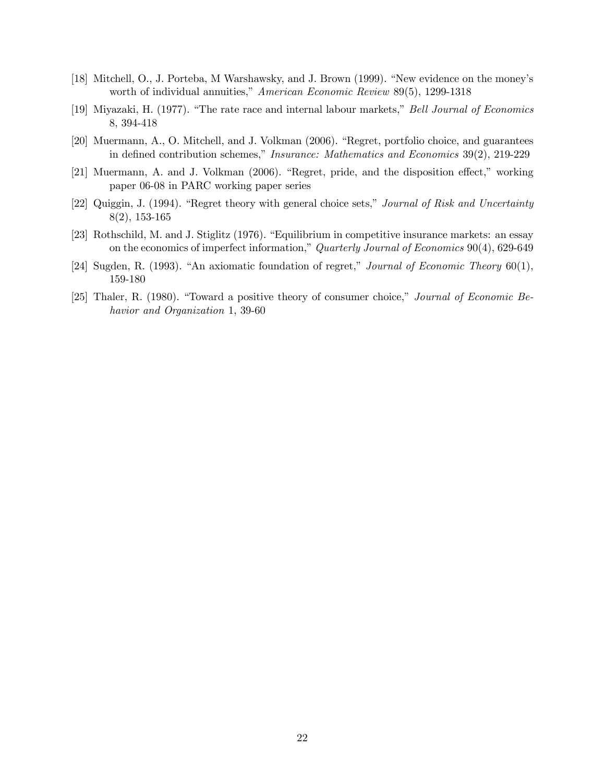- [18] Mitchell, O., J. Porteba, M Warshawsky, and J. Brown (1999). "New evidence on the money's worth of individual annuities," American Economic Review 89(5), 1299-1318
- [19] Miyazaki, H. (1977). "The rate race and internal labour markets," Bell Journal of Economics 8, 394-418
- [20] Muermann, A., O. Mitchell, and J. Volkman (2006). "Regret, portfolio choice, and guarantees in defined contribution schemes," Insurance: Mathematics and Economics 39(2), 219-229
- [21] Muermann, A. and J. Volkman (2006). "Regret, pride, and the disposition effect," working paper 06-08 in PARC working paper series
- [22] Quiggin, J. (1994). "Regret theory with general choice sets," Journal of Risk and Uncertainty 8(2), 153-165
- [23] Rothschild, M. and J. Stiglitz (1976). "Equilibrium in competitive insurance markets: an essay on the economics of imperfect information," Quarterly Journal of Economics 90(4), 629-649
- [24] Sugden, R. (1993). "An axiomatic foundation of regret," Journal of Economic Theory 60(1), 159-180
- [25] Thaler, R. (1980). "Toward a positive theory of consumer choice," Journal of Economic Behavior and Organization 1, 39-60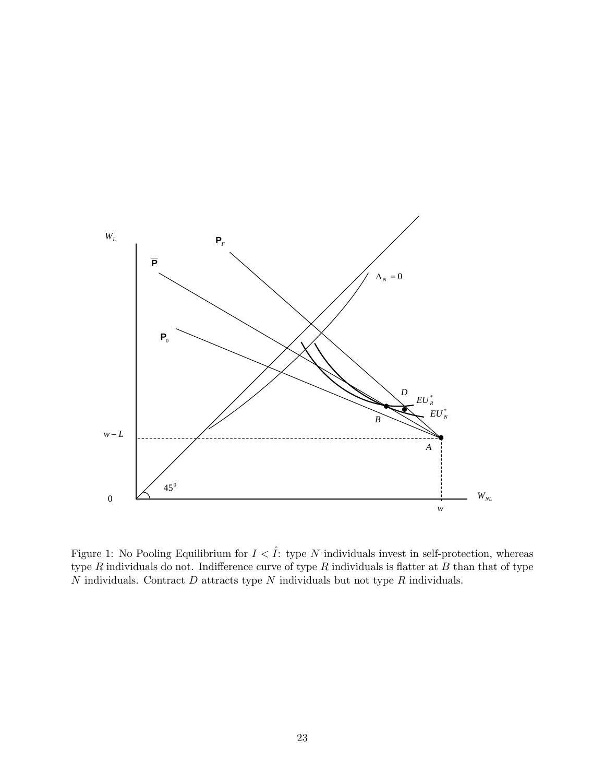

Figure 1: No Pooling Equilibrium for  $I \leq \hat{I}$ : type N individuals invest in self-protection, whereas type  $R$  individuals do not. Indifference curve of type  $R$  individuals is flatter at  $B$  than that of type  $N$  individuals. Contract  $D$  attracts type  $N$  individuals but not type  $R$  individuals.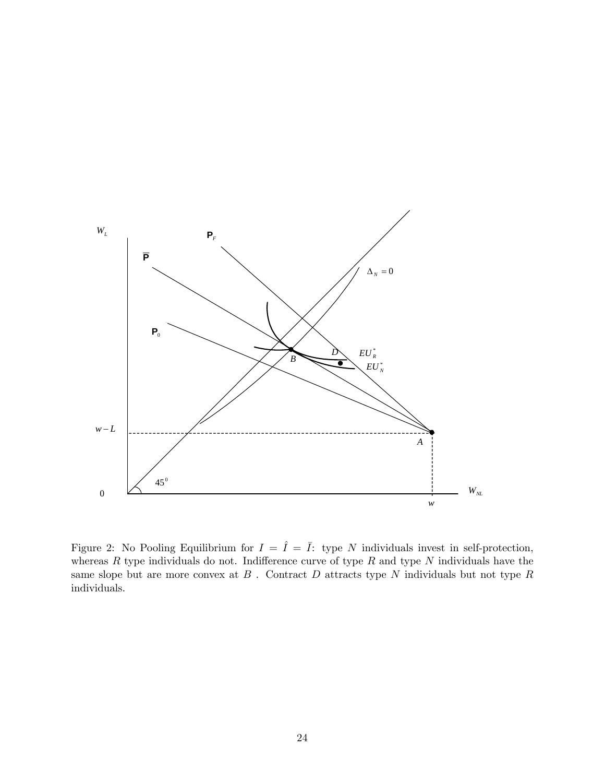

Figure 2: No Pooling Equilibrium for  $I = \hat{I} = \bar{I}$ : type N individuals invest in self-protection, whereas  $R$  type individuals do not. Indifference curve of type  $R$  and type  $N$  individuals have the same slope but are more convex at  $B$  . Contract  $D$  attracts type  $N$  individuals but not type  $R$ individuals.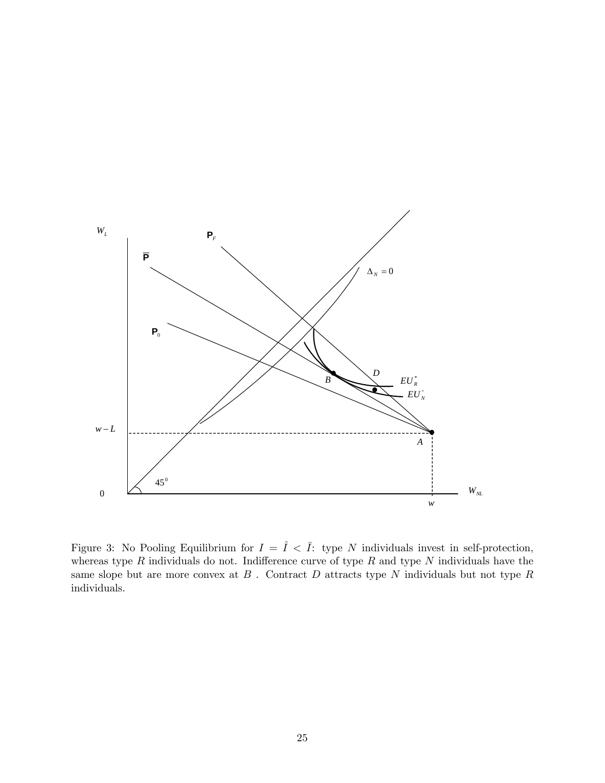

Figure 3: No Pooling Equilibrium for  $I = \hat{I} < \overline{I}$ : type N individuals invest in self-protection, whereas type  $R$  individuals do not. Indifference curve of type  $R$  and type  $N$  individuals have the same slope but are more convex at  $B$  . Contract  $D$  attracts type  $N$  individuals but not type  $R$ individuals.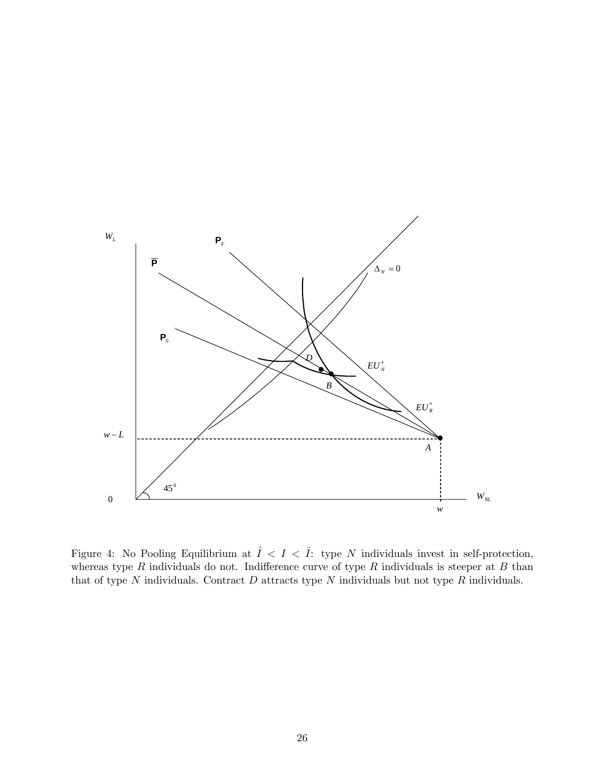

Figure 4: No Pooling Equilibrium at  $\hat{I} \leq I \leq \overline{I}$ : type N individuals invest in self-protection, whereas type  $R$  individuals do not. Indifference curve of type  $R$  individuals is steeper at  $B$  than that of type  $N$  individuals. Contract  $D$  attracts type  $N$  individuals but not type  $R$  individuals.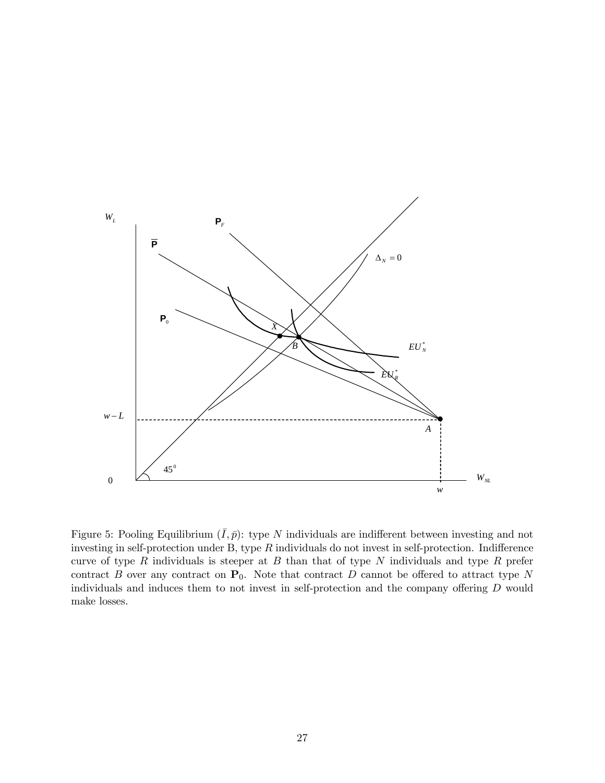

Figure 5: Pooling Equilibrium  $(\bar{I}, \bar{p})$ : type N individuals are indifferent between investing and not investing in self-protection under B, type R individuals do not invest in self-protection. Indifference curve of type  $R$  individuals is steeper at  $B$  than that of type  $N$  individuals and type  $R$  prefer contract B over any contract on  $P_0$ . Note that contract D cannot be offered to attract type N individuals and induces them to not invest in self-protection and the company offering D would make losses.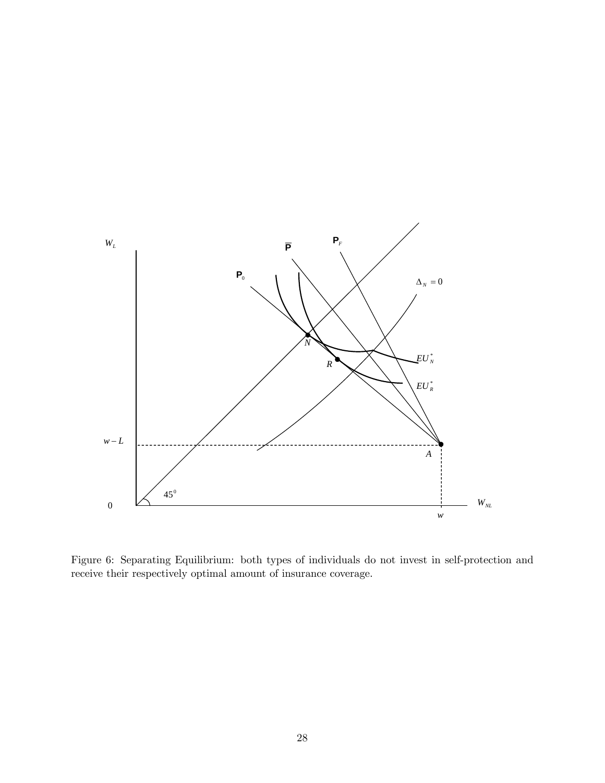

Figure 6: Separating Equilibrium: both types of individuals do not invest in self-protection and receive their respectively optimal amount of insurance coverage.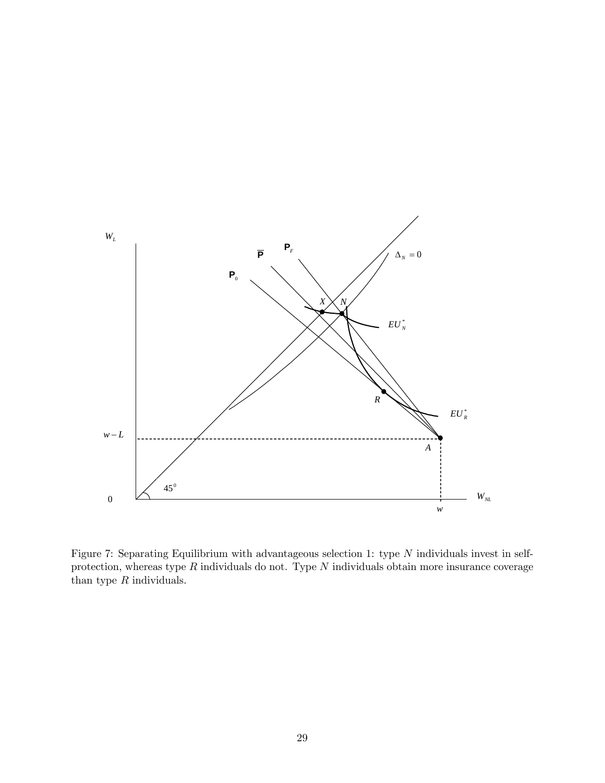

Figure 7: Separating Equilibrium with advantageous selection 1: type N individuals invest in selfprotection, whereas type  $R$  individuals do not. Type  $N$  individuals obtain more insurance coverage than type  $R$  individuals.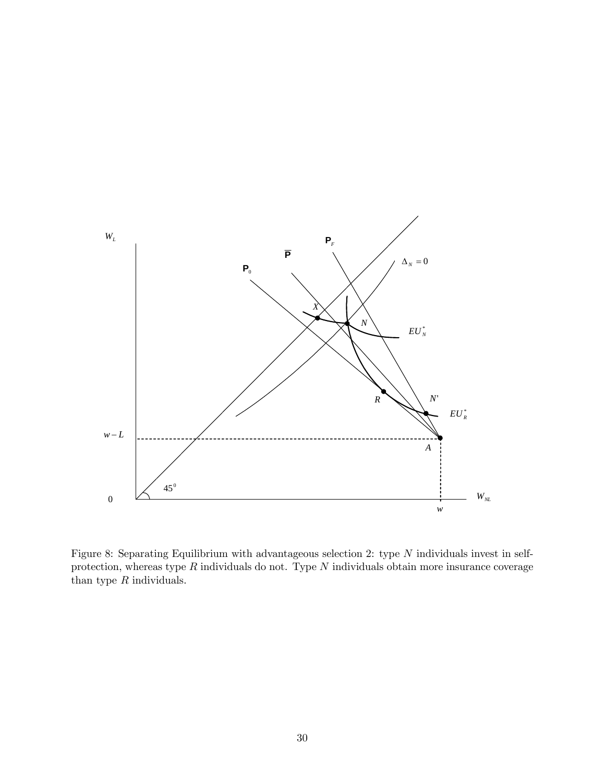

Figure 8: Separating Equilibrium with advantageous selection 2: type N individuals invest in selfprotection, whereas type  $R$  individuals do not. Type  $N$  individuals obtain more insurance coverage than type  $R$  individuals.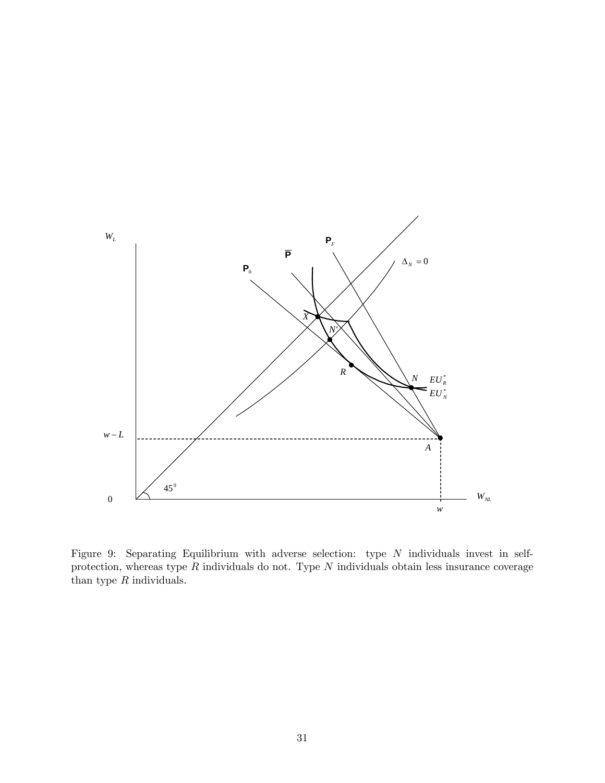

Figure 9: Separating Equilibrium with adverse selection: type N individuals invest in selfprotection, whereas type  $R$  individuals do not. Type  $N$  individuals obtain less insurance coverage than type  $R$  individuals.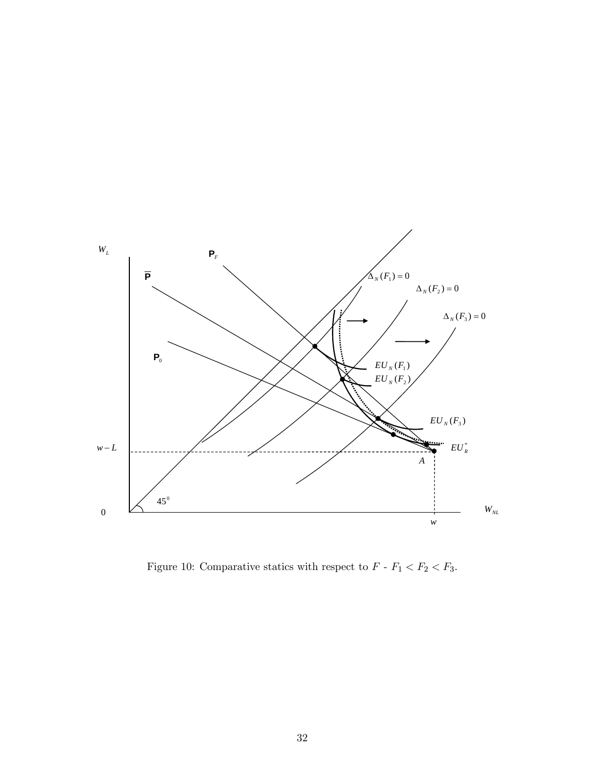

Figure 10: Comparative statics with respect to  $F$  -  $F_1 < F_2 < F_3$ .